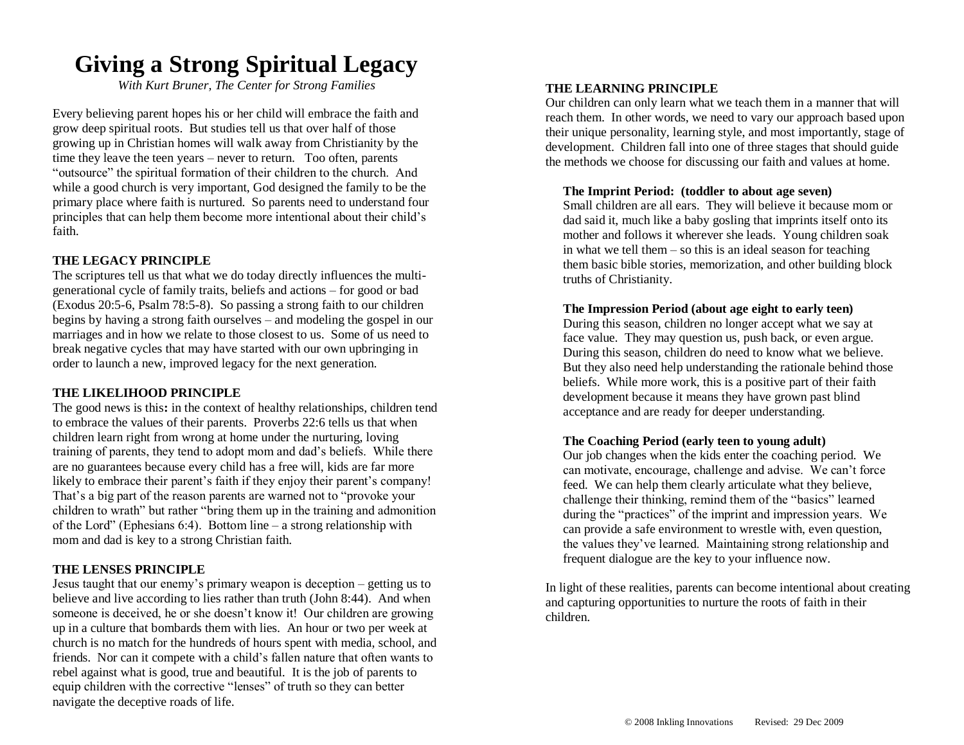## **Giving a Strong Spiritual Legacy**

*With Kurt Bruner, The Center for Strong Families*

Every believing parent hopes his or her child will embrace the faith and grow deep spiritual roots. But studies tell us that over half of those growing up in Christian homes will walk away from Christianity by the time they leave the teen years – never to return. Too often, parents "outsource" the spiritual formation of their children to the church. And while a good church is very important, God designed the family to be the primary place where faith is nurtured. So parents need to understand four principles that can help them become more intentional about their child's faith.

#### **THE LEGACY PRINCIPLE**

The scriptures tell us that what we do today directly influences the multigenerational cycle of family traits, beliefs and actions – for good or bad (Exodus 20:5-6, Psalm 78:5-8). So passing a strong faith to our children begins by having a strong faith ourselves – and modeling the gospel in our marriages and in how we relate to those closest to us. Some of us need to break negative cycles that may have started with our own upbringing in order to launch a new, improved legacy for the next generation.

#### **THE LIKELIHOOD PRINCIPLE**

The good news is this**:** in the context of healthy relationships, children tend to embrace the values of their parents. Proverbs 22:6 tells us that when children learn right from wrong at home under the nurturing, loving training of parents, they tend to adopt mom and dad's beliefs. While there are no guarantees because every child has a free will, kids are far more likely to embrace their parent's faith if they enjoy their parent's company! That's a big part of the reason parents are warned not to "provoke your children to wrath" but rather "bring them up in the training and admonition of the Lord" (Ephesians 6:4). Bottom line – a strong relationship with mom and dad is key to a strong Christian faith.

#### **THE LENSES PRINCIPLE**

Jesus taught that our enemy's primary weapon is deception – getting us to believe and live according to lies rather than truth (John 8:44). And when someone is deceived, he or she doesn't know it! Our children are growing up in a culture that bombards them with lies. An hour or two per week at church is no match for the hundreds of hours spent with media, school, and friends. Nor can it compete with a child's fallen nature that often wants to rebel against what is good, true and beautiful. It is the job of parents to equip children with the corrective "lenses" of truth so they can better navigate the deceptive roads of life.

#### **THE LEARNING PRINCIPLE**

Our children can only learn what we teach them in a manner that will reach them. In other words, we need to vary our approach based upon their unique personality, learning style, and most importantly, stage of development. Children fall into one of three stages that should guide the methods we choose for discussing our faith and values at home.

#### **The Imprint Period: (toddler to about age seven)**

Small children are all ears. They will believe it because mom or dad said it, much like a baby gosling that imprints itself onto its mother and follows it wherever she leads. Young children soak in what we tell them – so this is an ideal season for teaching them basic bible stories, memorization, and other building block truths of Christianity.

#### **The Impression Period (about age eight to early teen)**

During this season, children no longer accept what we say at face value. They may question us, push back, or even argue. During this season, children do need to know what we believe. But they also need help understanding the rationale behind those beliefs. While more work, this is a positive part of their faith development because it means they have grown past blind acceptance and are ready for deeper understanding.

#### **The Coaching Period (early teen to young adult)**

Our job changes when the kids enter the coaching period. We can motivate, encourage, challenge and advise. We can't force feed. We can help them clearly articulate what they believe, challenge their thinking, remind them of the "basics" learned during the "practices" of the imprint and impression years. We can provide a safe environment to wrestle with, even question, the values they've learned. Maintaining strong relationship and frequent dialogue are the key to your influence now.

In light of these realities, parents can become intentional about creating and capturing opportunities to nurture the roots of faith in their children.